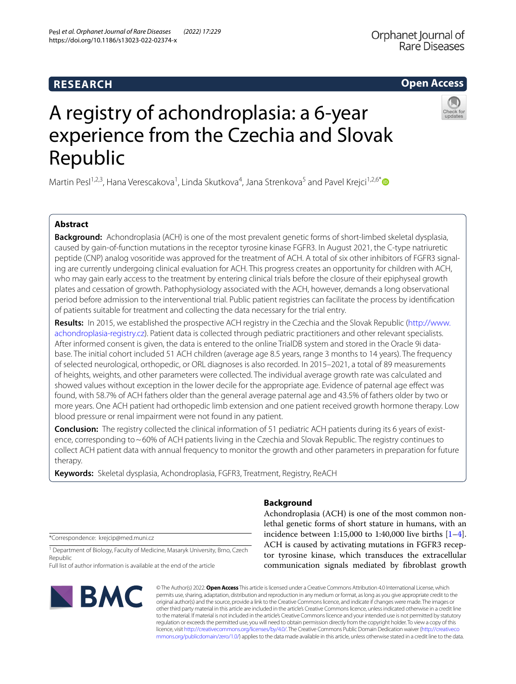# **RESEARCH**

# A registry of achondroplasia: a 6-year experience from the Czechia and Slovak Republic

Martin Pesl<sup>1,2,3</sup>, Hana Verescakova<sup>1</sup>, Linda Skutkova<sup>4</sup>, Jana Strenkova<sup>5</sup> and Pavel Krejci<sup>1,2,6\*</sup> <sup>1</sup>

# **Abstract**

**Background:** Achondroplasia (ACH) is one of the most prevalent genetic forms of short-limbed skeletal dysplasia, caused by gain-of-function mutations in the receptor tyrosine kinase FGFR3. In August 2021, the C-type natriuretic peptide (CNP) analog vosoritide was approved for the treatment of ACH. A total of six other inhibitors of FGFR3 signaling are currently undergoing clinical evaluation for ACH. This progress creates an opportunity for children with ACH, who may gain early access to the treatment by entering clinical trials before the closure of their epiphyseal growth plates and cessation of growth. Pathophysiology associated with the ACH, however, demands a long observational period before admission to the interventional trial. Public patient registries can facilitate the process by identifcation of patients suitable for treatment and collecting the data necessary for the trial entry.

**Results:** In 2015, we established the prospective ACH registry in the Czechia and the Slovak Republic [\(http://www.](http://www.achondroplasia-registry.cz) [achondroplasia-registry.cz\)](http://www.achondroplasia-registry.cz). Patient data is collected through pediatric practitioners and other relevant specialists. After informed consent is given, the data is entered to the online TrialDB system and stored in the Oracle 9i database. The initial cohort included 51 ACH children (average age 8.5 years, range 3 months to 14 years). The frequency of selected neurological, orthopedic, or ORL diagnoses is also recorded. In 2015–2021, a total of 89 measurements of heights, weights, and other parameters were collected. The individual average growth rate was calculated and showed values without exception in the lower decile for the appropriate age. Evidence of paternal age efect was found, with 58.7% of ACH fathers older than the general average paternal age and 43.5% of fathers older by two or more years. One ACH patient had orthopedic limb extension and one patient received growth hormone therapy. Low blood pressure or renal impairment were not found in any patient.

**Conclusion:** The registry collected the clinical information of 51 pediatric ACH patients during its 6 years of existence, corresponding to~60% of ACH patients living in the Czechia and Slovak Republic. The registry continues to collect ACH patient data with annual frequency to monitor the growth and other parameters in preparation for future therapy.

**Keywords:** Skeletal dysplasia, Achondroplasia, FGFR3, Treatment, Registry, ReACH

\*Correspondence: krejcip@med.muni.cz

<sup>1</sup> Department of Biology, Faculty of Medicine, Masaryk University, Brno, Czech Republic

Full list of author information is available at the end of the article



# **Background**

Achondroplasia (ACH) is one of the most common nonlethal genetic forms of short stature in humans, with an incidence between 1:15,000 to 1:40,000 live births  $[1-4]$  $[1-4]$ . ACH is caused by activating mutations in FGFR3 receptor tyrosine kinase, which transduces the extracellular communication signals mediated by fbroblast growth

© The Author(s) 2022. **Open Access** This article is licensed under a Creative Commons Attribution 4.0 International License, which permits use, sharing, adaptation, distribution and reproduction in any medium or format, as long as you give appropriate credit to the original author(s) and the source, provide a link to the Creative Commons licence, and indicate if changes were made. The images or other third party material in this article are included in the article's Creative Commons licence, unless indicated otherwise in a credit line to the material. If material is not included in the article's Creative Commons licence and your intended use is not permitted by statutory regulation or exceeds the permitted use, you will need to obtain permission directly from the copyright holder. To view a copy of this licence, visit [http://creativecommons.org/licenses/by/4.0/.](http://creativecommons.org/licenses/by/4.0/) The Creative Commons Public Domain Dedication waiver ([http://creativeco](http://creativecommons.org/publicdomain/zero/1.0/) [mmons.org/publicdomain/zero/1.0/](http://creativecommons.org/publicdomain/zero/1.0/)) applies to the data made available in this article, unless otherwise stated in a credit line to the data.

# Pesl *et al. Orphanet Journal of Rare Diseases (2022) 17:229*  https://doi.org/10.1186/s13023-022-02374-x





# **Open Access**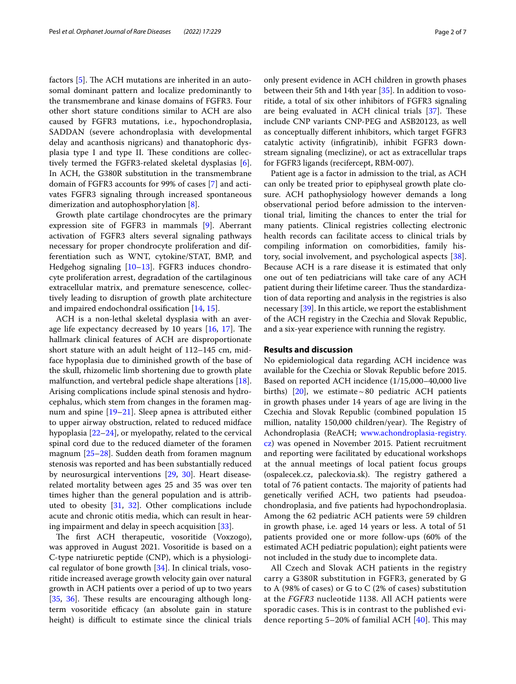factors  $[5]$  $[5]$ . The ACH mutations are inherited in an autosomal dominant pattern and localize predominantly to the transmembrane and kinase domains of FGFR3. Four other short stature conditions similar to ACH are also caused by FGFR3 mutations, i.e., hypochondroplasia, SADDAN (severe achondroplasia with developmental delay and acanthosis nigricans) and thanatophoric dysplasia type I and type II. These conditions are collectively termed the FGFR3-related skeletal dysplasias [\[6](#page-5-2)]. In ACH, the G380R substitution in the transmembrane domain of FGFR3 accounts for 99% of cases [\[7](#page-5-3)] and activates FGFR3 signaling through increased spontaneous dimerization and autophosphorylation [\[8\]](#page-5-4).

Growth plate cartilage chondrocytes are the primary expression site of FGFR3 in mammals [\[9](#page-5-5)]. Aberrant activation of FGFR3 alters several signaling pathways necessary for proper chondrocyte proliferation and differentiation such as WNT, cytokine/STAT, BMP, and Hedgehog signaling [\[10](#page-5-6)[–13](#page-5-7)]. FGFR3 induces chondrocyte proliferation arrest, degradation of the cartilaginous extracellular matrix, and premature senescence, collectively leading to disruption of growth plate architecture and impaired endochondral ossifcation [\[14](#page-5-8), [15](#page-5-9)].

ACH is a non-lethal skeletal dysplasia with an average life expectancy decreased by 10 years  $[16, 17]$  $[16, 17]$  $[16, 17]$ . The hallmark clinical features of ACH are disproportionate short stature with an adult height of 112–145 cm, midface hypoplasia due to diminished growth of the base of the skull, rhizomelic limb shortening due to growth plate malfunction, and vertebral pedicle shape alterations [\[18](#page-5-12)]. Arising complications include spinal stenosis and hydrocephalus, which stem from changes in the foramen magnum and spine [[19](#page-5-13)[–21](#page-5-14)]. Sleep apnea is attributed either to upper airway obstruction, related to reduced midface hypoplasia [\[22–](#page-5-15)[24\]](#page-5-16), or myelopathy, related to the cervical spinal cord due to the reduced diameter of the foramen magnum [\[25](#page-5-17)[–28](#page-5-18)]. Sudden death from foramen magnum stenosis was reported and has been substantially reduced by neurosurgical interventions [\[29](#page-5-19), [30\]](#page-5-20). Heart disease‐ related mortality between ages 25 and 35 was over ten times higher than the general population and is attributed to obesity [[31,](#page-5-21) [32\]](#page-5-22). Other complications include acute and chronic otitis media, which can result in hearing impairment and delay in speech acquisition [[33](#page-5-23)].

The first ACH therapeutic, vosoritide (Voxzogo), was approved in August 2021. Vosoritide is based on a C-type natriuretic peptide (CNP), which is a physiological regulator of bone growth [[34](#page-5-24)]. In clinical trials, vosoritide increased average growth velocity gain over natural growth in ACH patients over a period of up to two years [[35,](#page-5-25) [36](#page-5-26)]. These results are encouraging although longterm vosoritide efficacy (an absolute gain in stature height) is difficult to estimate since the clinical trials only present evidence in ACH children in growth phases between their 5th and 14th year [\[35](#page-5-25)]. In addition to vosoritide, a total of six other inhibitors of FGFR3 signaling are being evaluated in ACH clinical trials  $[37]$  $[37]$ . These include CNP variants CNP-PEG and ASB20123, as well as conceptually diferent inhibitors, which target FGFR3 catalytic activity (infgratinib), inhibit FGFR3 downstream signaling (meclizine), or act as extracellular traps for FGFR3 ligands (recifercept, RBM-007).

Patient age is a factor in admission to the trial, as ACH can only be treated prior to epiphyseal growth plate closure. ACH pathophysiology however demands a long observational period before admission to the interventional trial, limiting the chances to enter the trial for many patients. Clinical registries collecting electronic health records can facilitate access to clinical trials by compiling information on comorbidities, family history, social involvement, and psychological aspects [\[38](#page-5-28)]. Because ACH is a rare disease it is estimated that only one out of ten pediatricians will take care of any ACH patient during their lifetime career. Thus the standardization of data reporting and analysis in the registries is also necessary [[39](#page-5-29)]. In this article, we report the establishment of the ACH registry in the Czechia and Slovak Republic, and a six-year experience with running the registry.

## **Results and discussion**

No epidemiological data regarding ACH incidence was available for the Czechia or Slovak Republic before 2015. Based on reported ACH incidence (1/15,000–40,000 live births) [[20\]](#page-5-30), we estimate ~80 pediatric ACH patients in growth phases under 14 years of age are living in the Czechia and Slovak Republic (combined population 15 million, natality 150,000 children/year). The Registry of Achondroplasia (ReACH; [www.achondroplasia-registry.](http://www.achondroplasia-registry.cz) [cz\)](http://www.achondroplasia-registry.cz) was opened in November 2015. Patient recruitment and reporting were facilitated by educational workshops at the annual meetings of local patient focus groups (ospalecek.cz, paleckovia.sk). The registry gathered a total of 76 patient contacts. The majority of patients had genetically verifed ACH, two patients had pseudoachondroplasia, and fve patients had hypochondroplasia. Among the 62 pediatric ACH patients were 59 children in growth phase, i.e. aged 14 years or less. A total of 51 patients provided one or more follow-ups (60% of the estimated ACH pediatric population); eight patients were not included in the study due to incomplete data.

All Czech and Slovak ACH patients in the registry carry a G380R substitution in FGFR3, generated by G to A (98% of cases) or G to C (2% of cases) substitution at the *FGFR3* nucleotide 1138. All ACH patients were sporadic cases. This is in contrast to the published evidence reporting  $5-20\%$  of familial ACH  $[40]$  $[40]$ . This may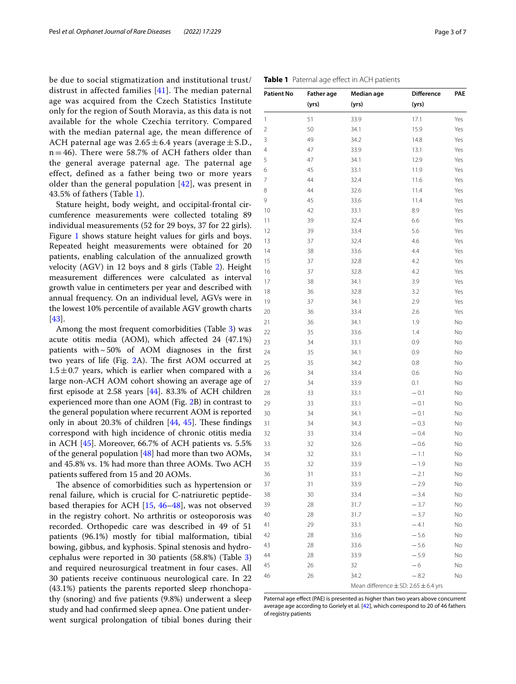be due to social stigmatization and institutional trust/ distrust in affected families [\[41\]](#page-5-32). The median paternal age was acquired from the Czech Statistics Institute only for the region of South Moravia, as this data is not available for the whole Czechia territory. Compared with the median paternal age, the mean difference of ACH paternal age was  $2.65 \pm 6.4$  years (average  $\pm$  S.D.,  $n = 46$ ). There were 58.7% of ACH fathers older than the general average paternal age. The paternal age effect, defined as a father being two or more years older than the general population  $[42]$  $[42]$  $[42]$ , was present in 43.5% of fathers (Table [1](#page-2-0)).

Stature height, body weight, and occipital-frontal circumference measurements were collected totaling 89 individual measurements (52 for 29 boys, 37 for 22 girls). Figure [1](#page-3-0) shows stature height values for girls and boys. Repeated height measurements were obtained for 20 patients, enabling calculation of the annualized growth velocity (AGV) in 12 boys and 8 girls (Table [2\)](#page-3-1). Height measurement diferences were calculated as interval growth value in centimeters per year and described with annual frequency. On an individual level, AGVs were in the lowest 10% percentile of available AGV growth charts [[43\]](#page-5-34).

Among the most frequent comorbidities (Table [3\)](#page-3-2) was acute otitis media (AOM), which afected 24 (47.1%) patients with $\sim$  50% of AOM diagnoses in the first two years of life (Fig.  $2A$ ). The first AOM occurred at  $1.5 \pm 0.7$  years, which is earlier when compared with a large non-ACH AOM cohort showing an average age of frst episode at 2.58 years [[44](#page-5-35)]. 83.3% of ACH children experienced more than one AOM (Fig. [2B](#page-3-3)) in contrast to the general population where recurrent AOM is reported only in about 20.3% of children  $[44, 45]$  $[44, 45]$  $[44, 45]$  $[44, 45]$ . These findings correspond with high incidence of chronic otitis media in ACH [[45](#page-5-36)]. Moreover, 66.7% of ACH patients vs. 5.5% of the general population  $[48]$  had more than two AOMs, and 45.8% vs. 1% had more than three AOMs. Two ACH patients sufered from 15 and 20 AOMs.

The absence of comorbidities such as hypertension or renal failure, which is crucial for C-natriuretic peptidebased therapies for ACH [\[15](#page-5-9), [46–](#page-5-38)[48](#page-5-37)], was not observed in the registry cohort. No arthritis or osteoporosis was recorded. Orthopedic care was described in 49 of 51 patients (96.1%) mostly for tibial malformation, tibial bowing, gibbus, and kyphosis. Spinal stenosis and hydrocephalus were reported in 30 patients (58.8%) (Table [3](#page-3-2)) and required neurosurgical treatment in four cases. All 30 patients receive continuous neurological care. In 22 (43.1%) patients the parents reported sleep rhonchopathy (snoring) and fve patients (9.8%) underwent a sleep study and had confrmed sleep apnea. One patient underwent surgical prolongation of tibial bones during their

|    | (yrs) | (yrs)                                        | (yrs)  |     |
|----|-------|----------------------------------------------|--------|-----|
| 1  | 51    | 33.9                                         | 17.1   | Yes |
| 2  | 50    | 34.1                                         | 15.9   | Yes |
| 3  | 49    | 34.2                                         | 14.8   | Yes |
| 4  | 47    | 33.9                                         | 13.1   | Yes |
| 5  | 47    | 34.1                                         | 12.9   | Yes |
| 6  | 45    | 33.1                                         | 11.9   | Yes |
| 7  | 44    | 32.4                                         | 11.6   | Yes |
| 8  | 44    | 32.6                                         | 11.4   | Yes |
| 9  | 45    | 33.6                                         | 11.4   | Yes |
| 10 | 42    | 33.1                                         | 8.9    | Yes |
| 11 | 39    | 32.4                                         | 6.6    | Yes |
| 12 | 39    | 33.4                                         | 5.6    | Yes |
| 13 | 37    | 32.4                                         | 4.6    | Yes |
| 14 | 38    | 33.6                                         | 4.4    | Yes |
| 15 | 37    | 32.8                                         | 4.2    | Yes |
| 16 | 37    | 32.8                                         | 4.2    | Yes |
| 17 | 38    | 34.1                                         | 3.9    | Yes |
| 18 | 36    | 32.8                                         | 3.2    | Yes |
| 19 | 37    | 34.1                                         | 2.9    | Yes |
| 20 | 36    | 33.4                                         | 2.6    | Yes |
| 21 | 36    | 34.1                                         | 1.9    | No  |
| 22 | 35    | 33.6                                         | 1.4    | No  |
| 23 | 34    | 33.1                                         | 0.9    | No  |
| 24 | 35    | 34.1                                         | 0.9    | No  |
| 25 | 35    | 34.2                                         | 0.8    | No  |
| 26 | 34    | 33.4                                         | 0.6    | No  |
| 27 | 34    | 33.9                                         | 0.1    | No  |
| 28 | 33    | 33.1                                         | $-0.1$ | No  |
| 29 | 33    | 33.1                                         | $-0.1$ | No  |
| 30 | 34    | 34.1                                         | $-0.1$ | No  |
| 31 | 34    | 34.3                                         | $-0.3$ | No  |
| 32 | 33    | 33.4                                         | $-0.4$ | No  |
| 33 | 32    | 32.6                                         | $-0.6$ | No  |
| 34 | 32    | 33.1                                         | $-1.1$ | No  |
| 35 | 32    | 33.9                                         | $-1.9$ | No  |
| 36 | 31    | 33.1                                         | $-2.1$ | No  |
| 37 | 31    | 33.9                                         | $-2.9$ | No  |
| 38 | 30    | 33.4                                         | $-3.4$ | No  |
| 39 | 28    | 31.7                                         | $-3.7$ | No  |
| 40 | 28    | 31.7                                         | $-3.7$ | No  |
| 41 | 29    | 33.1                                         | $-4.1$ | No  |
| 42 | 28    | 33.6                                         | $-5.6$ | No  |
| 43 | 28    | 33.6                                         | $-5.6$ | No  |
| 44 | 28    | 33.9                                         | $-5.9$ | No  |
| 45 | 26    | 32                                           | -6     | No  |
| 46 | 26    | 34.2                                         | $-8.2$ | No  |
|    |       | Mean difference $\pm$ SD: 2.65 $\pm$ 6.4 yrs |        |     |

<span id="page-2-0"></span>**Table 1** Paternal age effect in ACH patients

**Patient No Father age Median age Diference PAE**

Paternal age effect (PAE) is presented as higher than two years above concurrent average age according to Goriely et al. [\[42](#page-5-33)], which correspond to 20 of 46 fathers of registry patients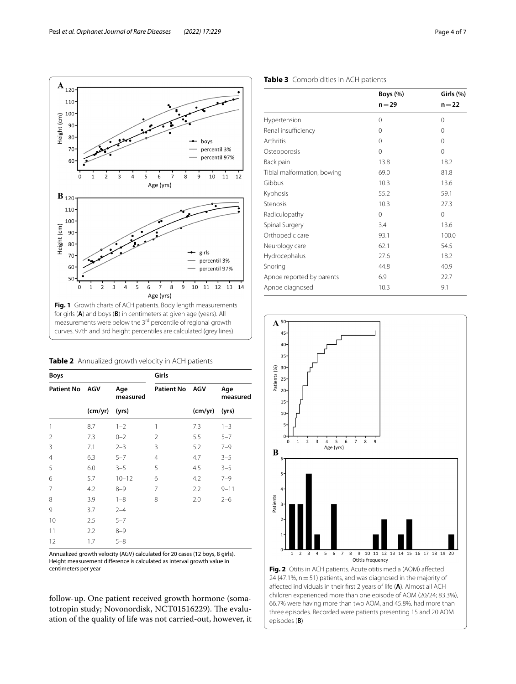$\Delta$ 5 6  $\overline{7}$ 8 9

Age (yrs)

 $A_{120}$ 110

 $E = 100$ <br> $E = 90$ <br> $E = 80$ 

 $70$ 

60

 $\mathbf{B}_{120}$ 110 100

Height (cm) 90 80

70

60

 $5<sub>0</sub>$ 

 $\mathbf 0$  $\overline{1}$  $\overline{2}$ 3  $\overline{4}$ 5 6  $\overline{7}$ Age (yrs)

 $\mathbf{C}$ 

<span id="page-3-1"></span>**Table 2** Annualized growth velocity in ACH patients **Boys Girls**

<span id="page-3-0"></span>**Fig. 1** Growth charts of ACH patients. Body length measurements for girls (**A**) and boys (**B**) in centimeters at given age (years). All measurements were below the 3<sup>rd</sup> percentile of regional growth curves. 97th and 3rd height percentiles are calculated (grey lines)

 $\overline{8}$  $\frac{1}{9}$  $10$ 

boys

percentil 3% percentil 97%

 $10$ 

girls

percentil 3%

percentil 97%

11 12 13 14

 $\overline{12}$ 

11

| <b>Patient No</b> | <b>AGV</b> | Age<br>measured | <b>Patient No</b> | <b>AGV</b> | Age<br>measured |
|-------------------|------------|-----------------|-------------------|------------|-----------------|
|                   | (cm/yr)    | (yrs)           |                   | (cm/yr)    | (yrs)           |
| 1                 | 8.7        | $1 - 2$         | 1                 | 7.3        | $1 - 3$         |
| $\overline{2}$    | 7.3        | $0 - 2$         | $\overline{2}$    | 5.5        | $5 - 7$         |
| $\overline{3}$    | 7.1        | $2 - 3$         | 3                 | 5.2        | $7 - 9$         |
| $\overline{4}$    | 6.3        | $5 - 7$         | 4                 | 4.7        | $3 - 5$         |
| 5                 | 6.0        | $3 - 5$         | 5                 | 4.5        | $3 - 5$         |
| 6                 | 5.7        | $10 - 12$       | 6                 | 4.2        | $7 - 9$         |
| 7                 | 4.2        | $8 - 9$         | 7                 | 2.2        | $9 - 11$        |
| 8                 | 3.9        | $1 - 8$         | 8                 | 2.0        | $2 - 6$         |
| 9                 | 3.7        | $2 - 4$         |                   |            |                 |
| 10                | 2.5        | $5 - 7$         |                   |            |                 |
| 11                | 2.2        | $8 - 9$         |                   |            |                 |
| 12                | 1.7        | $5 - 8$         |                   |            |                 |

<span id="page-3-3"></span>Annualized growth velocity (AGV) calculated for 20 cases (12 boys, 8 girls). Height measurement diference is calculated as interval growth value in centimeters per year

follow-up. One patient received growth hormone (somatotropin study; Novonordisk, NCT01516229). The evaluation of the quality of life was not carried-out, however, it

|                             | $n = 29$ | $n = 22$ |
|-----------------------------|----------|----------|
| Hypertension                | 0        | $\Omega$ |
| Renal insufficiency         | 0        | $\Omega$ |
| Arthritis                   | 0        | 0        |
| Osteoporosis                | $\Omega$ | $\Omega$ |
| Back pain                   | 13.8     | 18.2     |
| Tibial malformation, bowing | 69.0     | 81.8     |
| Gibbus                      | 10.3     | 13.6     |
| Kyphosis                    | 55.2     | 59.1     |
| Stenosis                    | 10.3     | 27.3     |
| Radiculopathy               | 0        | $\Omega$ |
| Spinal Surgery              | 3.4      | 13.6     |
| Orthopedic care             | 93.1     | 100.0    |
| Neurology care              | 62.1     | 54.5     |
| Hydrocephalus               | 27.6     | 18.2     |
| Snoring                     | 44.8     | 40.9     |
| Apnoe reported by parents   | 6.9      | 22.7     |
| Apnoe diagnosed             | 10.3     | 9.1      |



**Boys (%) Girls (%)**

# <span id="page-3-2"></span>**Table 3** Comorbidities in ACH patients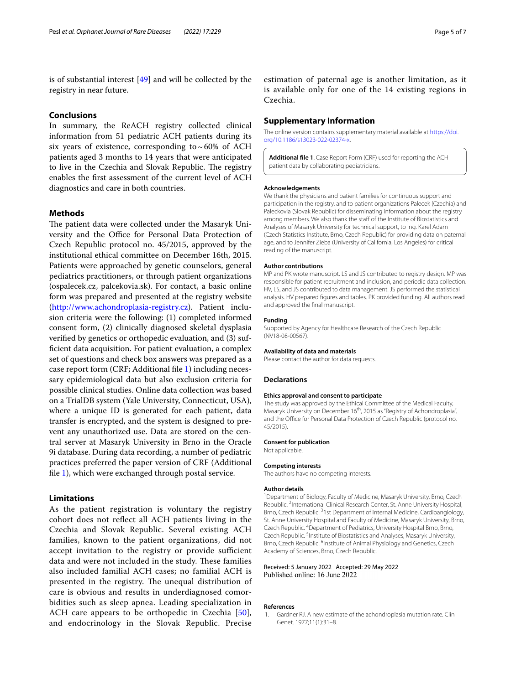is of substantial interest [\[49\]](#page-6-0) and will be collected by the registry in near future.

# **Conclusions**

In summary, the ReACH registry collected clinical information from 51 pediatric ACH patients during its six years of existence, corresponding to  $\sim 60\%$  of ACH patients aged 3 months to 14 years that were anticipated to live in the Czechia and Slovak Republic. The registry enables the frst assessment of the current level of ACH diagnostics and care in both countries.

# **Methods**

The patient data were collected under the Masaryk University and the Office for Personal Data Protection of Czech Republic protocol no. 45/2015, approved by the institutional ethical committee on December 16th, 2015. Patients were approached by genetic counselors, general pediatrics practitioners, or through patient organizations (ospalecek.cz, palcekovia.sk). For contact, a basic online form was prepared and presented at the registry website (<http://www.achondroplasia-registry.cz>). Patient inclusion criteria were the following: (1) completed informed consent form, (2) clinically diagnosed skeletal dysplasia verifed by genetics or orthopedic evaluation, and (3) suffcient data acquisition. For patient evaluation, a complex set of questions and check box answers was prepared as a case report form (CRF; Additional fle [1](#page-4-1)) including necessary epidemiological data but also exclusion criteria for possible clinical studies. Online data collection was based on a TrialDB system (Yale University, Connecticut, USA), where a unique ID is generated for each patient, data transfer is encrypted, and the system is designed to prevent any unauthorized use. Data are stored on the central server at Masaryk University in Brno in the Oracle 9i database. During data recording, a number of pediatric practices preferred the paper version of CRF (Additional fle [1](#page-4-1)), which were exchanged through postal service.

# **Limitations**

As the patient registration is voluntary the registry cohort does not refect all ACH patients living in the Czechia and Slovak Republic. Several existing ACH families, known to the patient organizations, did not accept invitation to the registry or provide sufficient data and were not included in the study. These families also included familial ACH cases; no familial ACH is presented in the registry. The unequal distribution of care is obvious and results in underdiagnosed comorbidities such as sleep apnea. Leading specialization in ACH care appears to be orthopedic in Czechia [[50](#page-6-1)], and endocrinology in the Slovak Republic. Precise

estimation of paternal age is another limitation, as it is available only for one of the 14 existing regions in Czechia.

## **Supplementary Information**

The online version contains supplementary material available at [https://doi.](https://doi.org/10.1186/s13023-022-02374-x) [org/10.1186/s13023-022-02374-x.](https://doi.org/10.1186/s13023-022-02374-x)

<span id="page-4-1"></span>**Additional fle 1**. Case Report Form (CRF) used for reporting the ACH patient data by collaborating pediatricians.

#### **Acknowledgements**

We thank the physicians and patient families for continuous support and participation in the registry, and to patient organizations Palecek (Czechia) and Paleckovia (Slovak Republic) for disseminating information about the registry among members. We also thank the staff of the Institute of Biostatistics and Analyses of Masaryk University for technical support, to Ing. Karel Adam (Czech Statistics Institute, Brno, Czech Republic) for providing data on paternal age, and to Jennifer Zieba (University of California, Los Angeles) for critical reading of the manuscript.

#### **Author contributions**

MP and PK wrote manuscript. LS and JS contributed to registry design. MP was responsible for patient recruitment and inclusion, and periodic data collection. HV, LS, and JS contributed to data management. JS performed the statistical analysis. HV prepared fgures and tables. PK provided funding. All authors read and approved the fnal manuscript.

#### **Funding**

Supported by Agency for Healthcare Research of the Czech Republic (NV18-08-00567).

#### **Availability of data and materials**

Please contact the author for data requests.

#### **Declarations**

#### **Ethics approval and consent to participate**

The study was approved by the Ethical Committee of the Medical Faculty, Masaryk University on December 16<sup>th</sup>, 2015 as "Registry of Achondroplasia", and the Office for Personal Data Protection of Czech Republic (protocol no. 45/2015).

#### **Consent for publication**

Not applicable.

#### **Competing interests**

The authors have no competing interests.

#### **Author details**

<sup>1</sup> Department of Biology, Faculty of Medicine, Masaryk University, Brno, Czech Republic.<sup>2</sup> International Clinical Research Center, St. Anne University Hospital, Brno, Czech Republic.<sup>3</sup>1st Department of Internal Medicine, Cardioangiology, St. Anne University Hospital and Faculty of Medicine, Masaryk University, Brno, Czech Republic. 4 Department of Pediatrics, University Hospital Brno, Brno, Czech Republic.<sup>5</sup> Institute of Biostatistics and Analyses, Masaryk University, Brno, Czech Republic. <sup>6</sup>Institute of Animal Physiology and Genetics, Czech Academy of Sciences, Brno, Czech Republic.

### Received: 5 January 2022 Accepted: 29 May 2022 Published online: 16 June 2022

#### **References**

<span id="page-4-0"></span>1. Gardner RJ. A new estimate of the achondroplasia mutation rate. Clin Genet. 1977;11(1):31–8.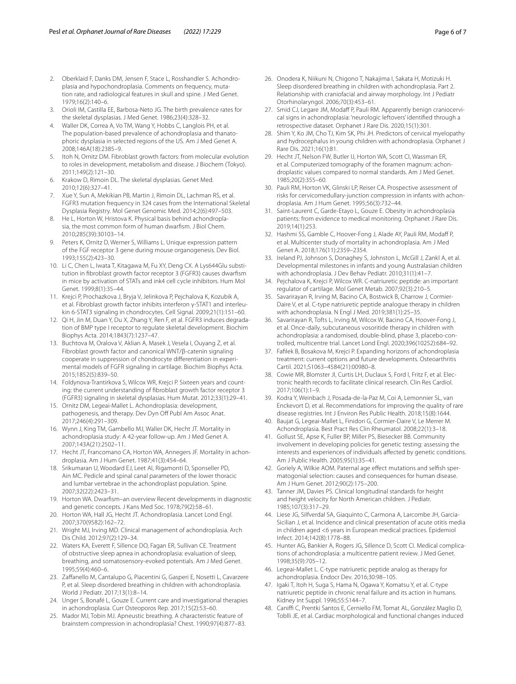- 2. Oberklaid F, Danks DM, Jensen F, Stace L, Rosshandler S. Achondroplasia and hypochondroplasia. Comments on frequency, mutation rate, and radiological features in skull and spine. J Med Genet. 1979;16(2):140–6.
- 3. Orioli IM, Castilla EE, Barbosa-Neto JG. The birth prevalence rates for the skeletal dysplasias. J Med Genet. 1986;23(4):328–32.
- <span id="page-5-0"></span>Waller DK, Correa A, Vo TM, Wang Y, Hobbs C, Langlois PH, et al. The population-based prevalence of achondroplasia and thanatophoric dysplasia in selected regions of the US. Am J Med Genet A. 2008;146A(18):2385–9.
- <span id="page-5-1"></span>5. Itoh N, Ornitz DM. Fibroblast growth factors: from molecular evolution to roles in development, metabolism and disease. J Biochem (Tokyo). 2011;149(2):121–30.
- <span id="page-5-2"></span>6. Krakow D, Rimoin DL. The skeletal dysplasias. Genet Med. 2010;12(6):327–41.
- <span id="page-5-3"></span>7. Xue Y, Sun A, Mekikian PB, Martin J, Rimoin DL, Lachman RS, et al. FGFR3 mutation frequency in 324 cases from the International Skeletal Dysplasia Registry. Mol Genet Genomic Med. 2014;2(6):497–503.
- <span id="page-5-4"></span>8. He L, Horton W, Hristova K. Physical basis behind achondroplasia, the most common form of human dwarfsm. J Biol Chem. 2010;285(39):30103–14.
- <span id="page-5-5"></span>9. Peters K, Ornitz D, Werner S, Williams L. Unique expression pattern of the FGF receptor 3 gene during mouse organogenesis. Dev Biol. 1993;155(2):423–30.
- <span id="page-5-6"></span>10. Li C, Chen L, Iwata T, Kitagawa M, Fu XY, Deng CX. A Lys644Glu substitution in fbroblast growth factor receptor 3 (FGFR3) causes dwarfsm in mice by activation of STATs and ink4 cell cycle inhibitors. Hum Mol Genet. 1999;8(1):35–44.
- 11. Krejci P, Prochazkova J, Bryja V, Jelinkova P, Pejchalova K, Kozubik A, et al. Fibroblast growth factor inhibits interferon γ-STAT1 and interleukin 6-STAT3 signaling in chondrocytes. Cell Signal. 2009;21(1):151–60.
- 12. Qi H, Jin M, Duan Y, Du X, Zhang Y, Ren F, et al. FGFR3 induces degradation of BMP type I receptor to regulate skeletal development. Biochim Biophys Acta. 2014;1843(7):1237–47.
- <span id="page-5-7"></span>13. Buchtova M, Oralova V, Aklian A, Masek J, Vesela I, Ouyang Z, et al. Fibroblast growth factor and canonical WNT/β-catenin signaling cooperate in suppression of chondrocyte diferentiation in experimental models of FGFR signaling in cartilage. Biochim Biophys Acta. 2015;1852(5):839–50.
- <span id="page-5-8"></span>14. Foldynova-Trantirkova S, Wilcox WR, Krejci P. Sixteen years and counting: the current understanding of fbroblast growth factor receptor 3 (FGFR3) signaling in skeletal dysplasias. Hum Mutat. 2012;33(1):29–41.
- <span id="page-5-9"></span>15. Ornitz DM, Legeai-Mallet L. Achondroplasia: development, pathogenesis, and therapy. Dev Dyn Off Publ Am Assoc Anat. 2017;246(4):291–309.
- <span id="page-5-10"></span>16. Wynn J, King TM, Gambello MJ, Waller DK, Hecht JT. Mortality in achondroplasia study: A 42-year follow-up. Am J Med Genet A. 2007;143A(21):2502–11.
- <span id="page-5-11"></span>17. Hecht JT, Francomano CA, Horton WA, Annegers JF. Mortality in achondroplasia. Am J Hum Genet. 1987;41(3):454–64.
- <span id="page-5-12"></span>18. Srikumaran U, Woodard EJ, Leet AI, Rigamonti D, Sponseller PD, Ain MC. Pedicle and spinal canal parameters of the lower thoracic and lumbar vertebrae in the achondroplast population. Spine. 2007;32(22):2423–31.
- <span id="page-5-13"></span>19. Horton WA. Dwarfsm–an overview Recent developments in diagnostic and genetic concepts. J Kans Med Soc. 1978;79(2):58–61.
- <span id="page-5-30"></span>20. Horton WA, Hall JG, Hecht JT. Achondroplasia. Lancet Lond Engl. 2007;370(9582):162–72.
- <span id="page-5-14"></span>21. Wright MJ, Irving MD. Clinical management of achondroplasia. Arch Dis Child. 2012;97(2):129–34.
- <span id="page-5-15"></span>22. Waters KA, Everett F, Sillence DO, Fagan ER, Sullivan CE. Treatment of obstructive sleep apnea in achondroplasia: evaluation of sleep, breathing, and somatosensory-evoked potentials. Am J Med Genet. 1995;59(4):460–6.
- 23. Zafanello M, Cantalupo G, Piacentini G, Gasperi E, Nosetti L, Cavarzere P, et al. Sleep disordered breathing in children with achondroplasia. World J Pediatr. 2017;13(1):8–14.
- <span id="page-5-16"></span>24. Unger S, Bonafé L, Gouze E. Current care and investigational therapies in achondroplasia. Curr Osteoporos Rep. 2017;15(2):53–60.
- <span id="page-5-17"></span>25. Mador MJ, Tobin MJ. Apneustic breathing. A characteristic feature of brainstem compression in achondroplasia? Chest. 1990;97(4):877–83.
- 26. Onodera K, Niikuni N, Chigono T, Nakajima I, Sakata H, Motizuki H. Sleep disordered breathing in children with achondroplasia. Part 2. Relationship with craniofacial and airway morphology. Int J Pediatr Otorhinolaryngol. 2006;70(3):453–61.
- 27. Smid CJ, Legare JM, Modaff P, Pauli RM. Apparently benign craniocervical signs in achondroplasia: 'neurologic leftovers' identifed through a retrospective dataset. Orphanet J Rare Dis. 2020;15(1):301.
- <span id="page-5-18"></span>28. Shim Y, Ko JM, Cho TJ, Kim SK, Phi JH. Predictors of cervical myelopathy and hydrocephalus in young children with achondroplasia. Orphanet J Rare Dis. 2021;16(1):81.
- <span id="page-5-19"></span>29. Hecht JT, Nelson FW, Butler IJ, Horton WA, Scott CI, Wassman ER, et al. Computerized tomography of the foramen magnum: achondroplastic values compared to normal standards. Am J Med Genet. 1985;20(2):355–60.
- <span id="page-5-20"></span>30. Pauli RM, Horton VK, Glinski LP, Reiser CA. Prospective assessment of risks for cervicomedullary-junction compression in infants with achondroplasia. Am J Hum Genet. 1995;56(3):732–44.
- <span id="page-5-21"></span>31. Saint-Laurent C, Garde-Etayo L, Gouze E. Obesity in achondroplasia patients: from evidence to medical monitoring. Orphanet J Rare Dis. 2019;14(1):253.
- <span id="page-5-22"></span>32. Hashmi SS, Gamble C, Hoover-Fong J, Alade AY, Pauli RM, Modaff P, et al. Multicenter study of mortality in achondroplasia. Am J Med Genet A. 2018;176(11):2359–2354.
- <span id="page-5-23"></span>33. Ireland PJ, Johnson S, Donaghey S, Johnston L, McGill J, Zankl A, et al. Developmental milestones in infants and young Australasian children with achondroplasia. J Dev Behav Pediatr. 2010;31(1):41–7.
- <span id="page-5-24"></span>34. Pejchalova K, Krejci P, Wilcox WR. C-natriuretic peptide: an important regulator of cartilage. Mol Genet Metab. 2007;92(3):210–5.
- <span id="page-5-25"></span>35. Savarirayan R, Irving M, Bacino CA, Bostwick B, Charrow J, Cormier-Daire V, et al. C-type natriuretic peptide analogue therapy in children with achondroplasia. N Engl J Med. 2019;381(1):25–35.
- <span id="page-5-26"></span>36. Savarirayan R, Tofts L, Irving M, Wilcox W, Bacino CA, Hoover-Fong J, et al. Once-daily, subcutaneous vosoritide therapy in children with achondroplasia: a randomised, double-blind, phase 3, placebo-controlled, multicentre trial. Lancet Lond Engl. 2020;396(10252):684–92.
- <span id="page-5-27"></span>37. Faflek B, Bosakova M, Krejci P. Expanding horizons of achondroplasia treatment: current options and future developments. Osteoarthritis Cartil. 2021;S1063–4584(21):00980–8.
- <span id="page-5-28"></span>38. Cowie MR, Blomster JI, Curtis LH, Duclaux S, Ford I, Fritz F, et al. Electronic health records to facilitate clinical research. Clin Res Cardiol. 2017;106(1):1–9.
- <span id="page-5-29"></span>39. Kodra Y, Weinbach J, Posada-de-la-Paz M, Coi A, Lemonnier SL, van Enckevort D, et al. Recommendations for improving the quality of rare disease registries. Int J Environ Res Public Health. 2018;15(8):1644.
- <span id="page-5-31"></span>40. Baujat G, Legeai-Mallet L, Finidori G, Cormier-Daire V, Le Merrer M. Achondroplasia. Best Pract Res Clin Rheumatol. 2008;22(1):3–18.
- <span id="page-5-32"></span>41. Gollust SE, Apse K, Fuller BP, Miller PS, Biesecker BB. Community involvement in developing policies for genetic testing: assessing the interests and experiences of individuals afected by genetic conditions. Am J Public Health. 2005;95(1):35–41.
- <span id="page-5-33"></span>42. Goriely A, Wilkie AOM. Paternal age effect mutations and selfish spermatogonial selection: causes and consequences for human disease. Am J Hum Genet. 2012;90(2):175–200.
- <span id="page-5-34"></span>43. Tanner JM, Davies PS. Clinical longitudinal standards for height and height velocity for North American children. J Pediatr. 1985;107(3):317–29.
- <span id="page-5-35"></span>44. Liese JG, Silfverdal SA, Giaquinto C, Carmona A, Larcombe JH, Garcia-Sicilian J, et al. Incidence and clinical presentation of acute otitis media in children aged <6 years in European medical practices. Epidemiol Infect. 2014;142(8):1778–88.
- <span id="page-5-36"></span>45. Hunter AG, Bankier A, Rogers JG, Sillence D, Scott CI. Medical complications of achondroplasia: a multicentre patient review. J Med Genet. 1998;35(9):705–12.
- <span id="page-5-38"></span>46. Legeai-Mallet L. C-type natriuretic peptide analog as therapy for achondroplasia. Endocr Dev. 2016;30:98–105.
- 47. Igaki T, Itoh H, Suga S, Hama N, Ogawa Y, Komatsu Y, et al. C-type natriuretic peptide in chronic renal failure and its action in humans. Kidney Int Suppl. 1996;55:S144–7.
- <span id="page-5-37"></span>48. Caniffi C, Prentki Santos E, Cerniello FM, Tomat AL, González Maglio D, Toblli JE, et al. Cardiac morphological and functional changes induced